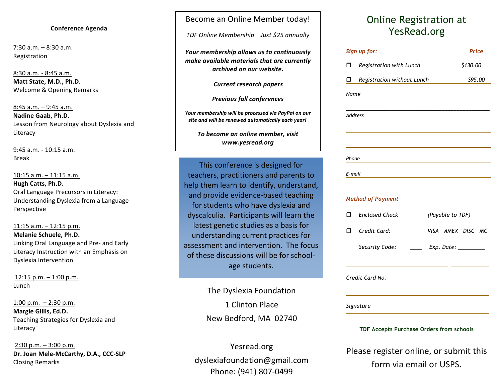#### **Conference Agenda**

 $7:30$  a.m.  $-8:30$  a.m. Registration 

8:30 a.m. - 8:45 a.m. **Matt State, M.D., Ph.D.** Welcome & Opening Remarks

 $8:45$  a.m.  $-9:45$  a.m. **Nadine Gaab, Ph.D.** Lesson from Neurology about Dyslexia and Literacy

9:45 a.m. - 10:15 a.m. Break

10:15 a.m. - 11:15 a.m. **Hugh Catts, Ph.D.** Oral Language Precursors in Literacy: Understanding Dyslexia from a Language Perspective

### $11:15$  a.m.  $-12:15$  p.m. **Melanie Schuele, Ph.D.** Linking Oral Language and Pre- and Early Literacy Instruction with an Emphasis on Dyslexia Intervention

 $12:15$  p.m.  $- 1:00$  p.m. Lunch

1:00 p.m.  $-2:30$  p.m. **Margie Gillis, Ed.D.** Teaching Strategies for Dyslexia and Literacy

 $2:30$  p.m.  $-3:00$  p.m. **Dr. Joan Mele-McCarthy, D.A., CCC-SLP** Closing Remarks

# Become an Online Member today!

*TDF Online Membership Just \$25 annually*

*Your membership allows us to continuously make available materials that are currently* archived on our website.

*Current research papers* 

**Previous fall conferences** 

Your membership will be processed via PayPal on our site and will be renewed automatically each year!

*To become an online member, visit www.yesread.org*

This conference is designed for teachers, practitioners and parents to help them learn to identify, understand, and provide evidence-based teaching for students who have dyslexia and dyscalculia. Participants will learn the latest genetic studies as a basis for understanding current practices for assessment and intervention. The focus of these discussions will be for schoolage students.

> The Dyslexia Foundation 1 Clinton Place New Bedford, MA 02740

Yesread.org dyslexiafoundation@gmail.com Phone: (941) 807-0499

# Online Registration at YesRead.org

|                                          | Sign up for:                                      | Price             |
|------------------------------------------|---------------------------------------------------|-------------------|
| ⊓                                        | Registration with Lunch                           | \$130.00          |
| Π.                                       | Registration without Lunch                        | \$95.00           |
| Name                                     |                                                   |                   |
| <b>Address</b>                           |                                                   |                   |
|                                          |                                                   |                   |
| Phone                                    |                                                   |                   |
| E-mail                                   | <u> 1989 - Johann Barbara, martxa alemaniar a</u> |                   |
|                                          | <b>Method of Payment</b>                          |                   |
| ⊓                                        | <b>Enclosed Check</b>                             | (Payable to TDF)  |
|                                          | $\Box$ Credit Card:                               | VISA AMEX DISC MC |
|                                          | Security Code:                                    |                   |
|                                          | Credit Card No.                                   |                   |
|                                          | Signature                                         |                   |
| TDF Accepts Purchase Orders from schools |                                                   |                   |

Please register online, or submit this form via email or USPS.